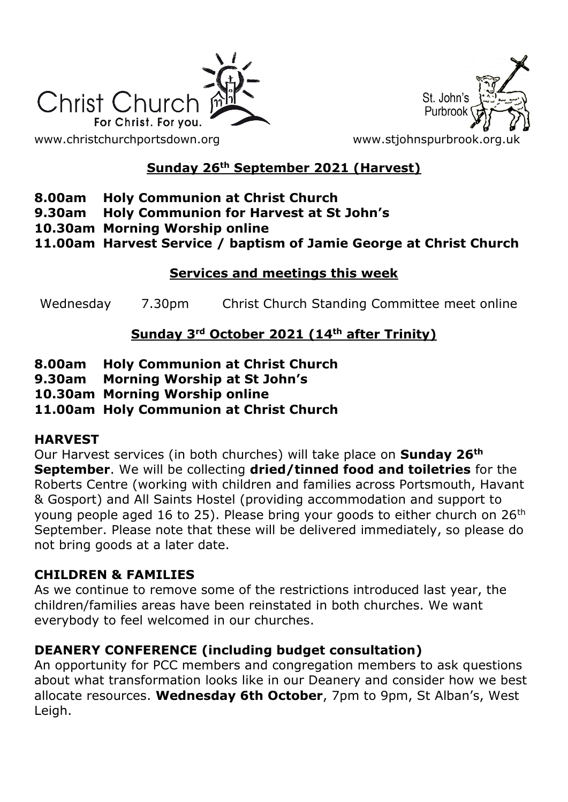



# **Sunday 26th September 2021 (Harvest)**

#### **8.00am Holy Communion at Christ Church**

- **9.30am Holy Communion for Harvest at St John's**
- **10.30am Morning Worship online**
- **11.00am Harvest Service / baptism of Jamie George at Christ Church**

#### **Services and meetings this week**

Wednesday 7.30pm Christ Church Standing Committee meet online

# **Sunday 3rd October 2021 (14th after Trinity)**

- **8.00am Holy Communion at Christ Church**
- **9.30am Morning Worship at St John's**
- **10.30am Morning Worship online**

#### **11.00am Holy Communion at Christ Church**

#### **HARVEST**

Our Harvest services (in both churches) will take place on **Sunday 26th September**. We will be collecting **dried/tinned food and toiletries** for the Roberts Centre (working with children and families across Portsmouth, Havant & Gosport) and All Saints Hostel (providing accommodation and support to young people aged 16 to 25). Please bring your goods to either church on 26<sup>th</sup> September. Please note that these will be delivered immediately, so please do not bring goods at a later date.

#### **CHILDREN & FAMILIES**

As we continue to remove some of the restrictions introduced last year, the children/families areas have been reinstated in both churches. We want everybody to feel welcomed in our churches.

#### **DEANERY CONFERENCE (including budget consultation)**

An opportunity for PCC members and congregation members to ask questions about what transformation looks like in our Deanery and consider how we best allocate resources. **Wednesday 6th October**, 7pm to 9pm, St Alban's, West Leigh.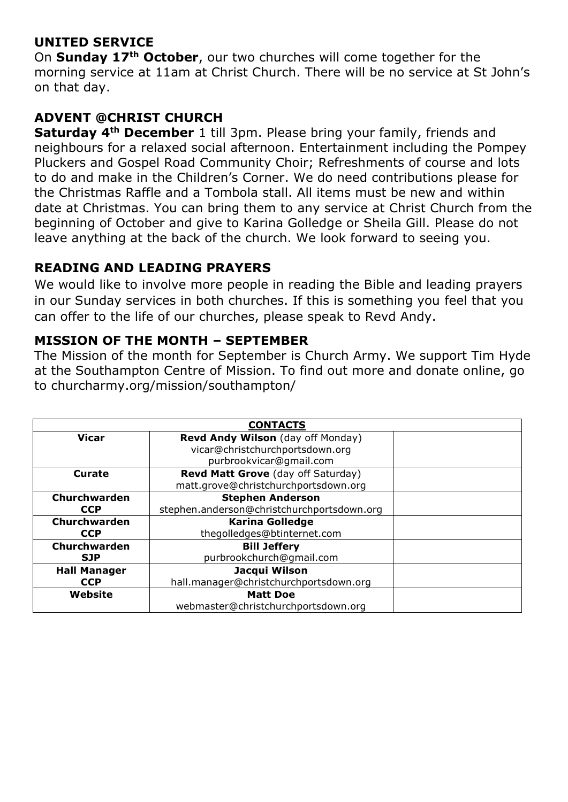### **UNITED SERVICE**

On **Sunday 17th October**, our two churches will come together for the morning service at 11am at Christ Church. There will be no service at St John's on that day.

# **ADVENT @CHRIST CHURCH**

**Saturday 4th December** 1 till 3pm. Please bring your family, friends and neighbours for a relaxed social afternoon. Entertainment including the Pompey Pluckers and Gospel Road Community Choir; Refreshments of course and lots to do and make in the Children's Corner. We do need contributions please for the Christmas Raffle and a Tombola stall. All items must be new and within date at Christmas. You can bring them to any service at Christ Church from the beginning of October and give to Karina Golledge or Sheila Gill. Please do not leave anything at the back of the church. We look forward to seeing you.

#### **READING AND LEADING PRAYERS**

We would like to involve more people in reading the Bible and leading prayers in our Sunday services in both churches. If this is something you feel that you can offer to the life of our churches, please speak to Revd Andy.

#### **MISSION OF THE MONTH – SEPTEMBER**

The Mission of the month for September is Church Army. We support Tim Hyde at the Southampton Centre of Mission. To find out more and donate online, go to churcharmy.org/mission/southampton/

| <b>CONTACTS</b>     |                                            |  |
|---------------------|--------------------------------------------|--|
| <b>Vicar</b>        | Revd Andy Wilson (day off Monday)          |  |
|                     | vicar@christchurchportsdown.org            |  |
|                     | purbrookvicar@gmail.com                    |  |
| <b>Curate</b>       | Revd Matt Grove (day off Saturday)         |  |
|                     | matt.grove@christchurchportsdown.org       |  |
| Churchwarden        | <b>Stephen Anderson</b>                    |  |
| <b>CCP</b>          | stephen.anderson@christchurchportsdown.org |  |
| Churchwarden        | <b>Karina Golledge</b>                     |  |
| <b>CCP</b>          | thegolledges@btinternet.com                |  |
| Churchwarden        | <b>Bill Jeffery</b>                        |  |
| <b>SJP</b>          | purbrookchurch@gmail.com                   |  |
| <b>Hall Manager</b> | Jacqui Wilson                              |  |
| <b>CCP</b>          | hall.manager@christchurchportsdown.org     |  |
| Website             | <b>Matt Doe</b>                            |  |
|                     | webmaster@christchurchportsdown.org        |  |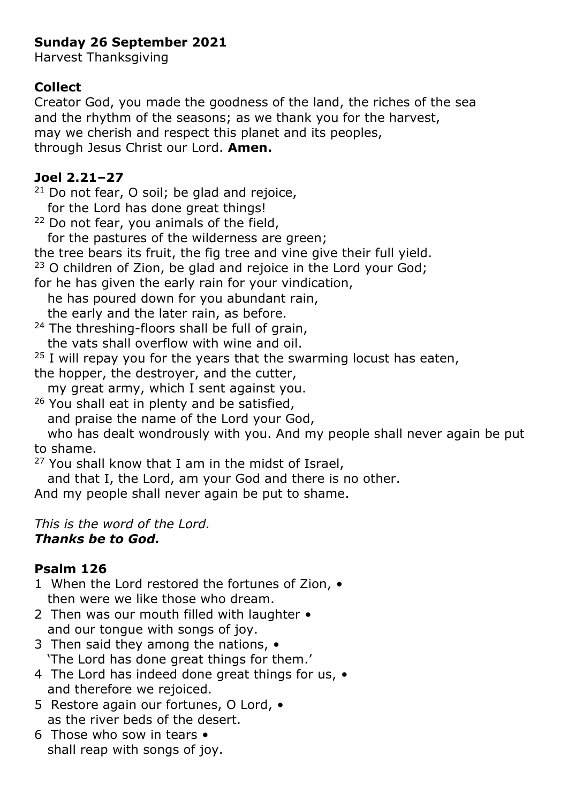# **Sunday 26 September 2021**

Harvest Thanksgiving

# **Collect**

Creator God, you made the goodness of the land, the riches of the sea and the rhythm of the seasons; as we thank you for the harvest, may we cherish and respect this planet and its peoples, through Jesus Christ our Lord. **Amen.**

### **Joel 2.21–27**

 $21$  Do not fear, O soil; be glad and rejoice, for the Lord has done great things!

<sup>22</sup> Do not fear, you animals of the field,

for the pastures of the wilderness are green;

the tree bears its fruit, the fig tree and vine give their full yield.

<sup>23</sup> O children of Zion, be glad and rejoice in the Lord your God;

for he has given the early rain for your vindication,

he has poured down for you abundant rain,

the early and the later rain, as before.

 $24$  The threshing-floors shall be full of grain, the vats shall overflow with wine and oil.

 $25$  I will repay you for the years that the swarming locust has eaten,

the hopper, the destroyer, and the cutter,

my great army, which I sent against you.

<sup>26</sup> You shall eat in plenty and be satisfied,

and praise the name of the Lord your God,

 who has dealt wondrously with you. And my people shall never again be put to shame.

 $27$  You shall know that I am in the midst of Israel,

and that I, the Lord, am your God and there is no other.

And my people shall never again be put to shame.

#### *This is the word of the Lord. Thanks be to God.*

# **Psalm 126**

1 When the Lord restored the fortunes of Zion,  $\bullet$ then were we like those who dream.

- 2 Then was our mouth filled with laughter and our tongue with songs of joy.
- 3 Then said they among the nations, 'The Lord has done great things for them.'
- 4 The Lord has indeed done great things for us,  $\bullet$ and therefore we rejoiced.
- 5 Restore again our fortunes, O Lord, as the river beds of the desert.
- 6 Those who sow in tears shall reap with songs of joy.